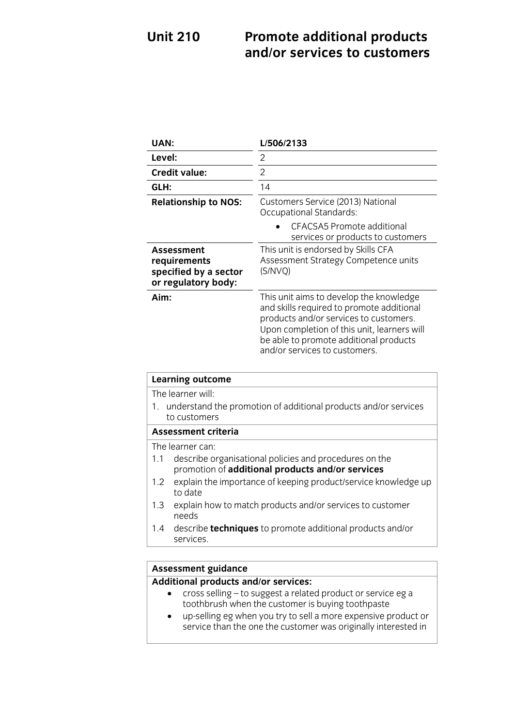### **Promote additional products and/or services to customers Unit 210 and/or services to customers**

| UAN:                                                                              | L/506/2133                                                                                                                                                                                                                                               |
|-----------------------------------------------------------------------------------|----------------------------------------------------------------------------------------------------------------------------------------------------------------------------------------------------------------------------------------------------------|
| Level:                                                                            | 2                                                                                                                                                                                                                                                        |
| <b>Credit value:</b>                                                              | $\overline{2}$                                                                                                                                                                                                                                           |
| GLH:                                                                              | 14                                                                                                                                                                                                                                                       |
| <b>Relationship to NOS:</b>                                                       | Customers Service (2013) National<br>Occupational Standards:                                                                                                                                                                                             |
|                                                                                   | <b>CFACSA5 Promote additional</b><br>services or products to customers                                                                                                                                                                                   |
| <b>Assessment</b><br>requirements<br>specified by a sector<br>or regulatory body: | This unit is endorsed by Skills CFA<br>Assessment Strategy Competence units<br>(S/NVQ)                                                                                                                                                                   |
| Aim:                                                                              | This unit aims to develop the knowledge<br>and skills required to promote additional<br>products and/or services to customers.<br>Upon completion of this unit, learners will<br>be able to promote additional products<br>and/or services to customers. |

| <b>Learning outcome</b>                                                            |                                                                                                            |
|------------------------------------------------------------------------------------|------------------------------------------------------------------------------------------------------------|
|                                                                                    | The learner will:                                                                                          |
| 1. understand the promotion of additional products and/or services<br>to customers |                                                                                                            |
| <b>Assessment criteria</b>                                                         |                                                                                                            |
|                                                                                    | The learner can:                                                                                           |
| 1.1                                                                                | describe organisational policies and procedures on the<br>promotion of additional products and/or services |
| 1.2                                                                                | explain the importance of keeping product/service knowledge up<br>to date                                  |
| 1.3                                                                                | explain how to match products and/or services to customer<br>needs                                         |
|                                                                                    | 1.4 describe <b>techniques</b> to promote additional products and/or<br>services.                          |

# **Assessment guidance**

- **4** cross selling to suggest a related product or service eg a<br>
toothbrush when the customer is buying toothnaste
	- up-selling eg when you try to sell a more expensive product or<br>service than the one the customer was originally interested in service than the one the customer was originally interested in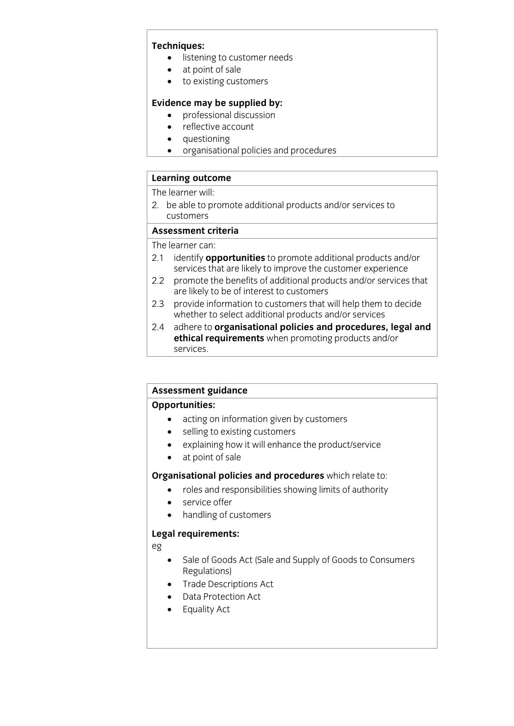- **The listening to customer needs**<br> **a** at point of sale
	- at point of sale<br>• to existing cust
	- to existing customers

- **Existence may** be supplied by:<br> **e** professional discussion<br> **e** reflective account
	- reflective account<br>• questioning
	- questioning<br>• organisation
	- organisational policies and procedures

## **Learning outcome**<br>The learner will:

2. be able to promote additional products and/or services to customers

### Assessment criteria

The learner can:

- 2.1 identify **opportunities** to promote additional products and/or services that are likely to improve the customer experience
- promote the benefits of additional products and/or services that  $2.2$ are likely to be of interest to customers
- provide information to customers that will help them to decide 2.3 provide information to customers that will help them to select additional products and/or services
- adhere to organisational policies and procedures, legal and  $2.4$ **ethical requirements** when promoting products and/or services. services.

## **Assessment guidance**

- acting on information given by customers<br>
 celling to existing sustances
	- selling to existing customers<br>• explaining how it will enhance
	- explaining how it will enhance the product/service<br>• at point of sale
	- at point of sale

- **Crime and responsibilities showing limits of authority** 
	- service offer
	- handling of customers

### **Legal requirements:**

eg

- Sale of Goods Act (Sale and Supply of Goods to Consumers<br>Regulations)
- Trade Descriptions Act
- Data Protection Act
- Equality Act